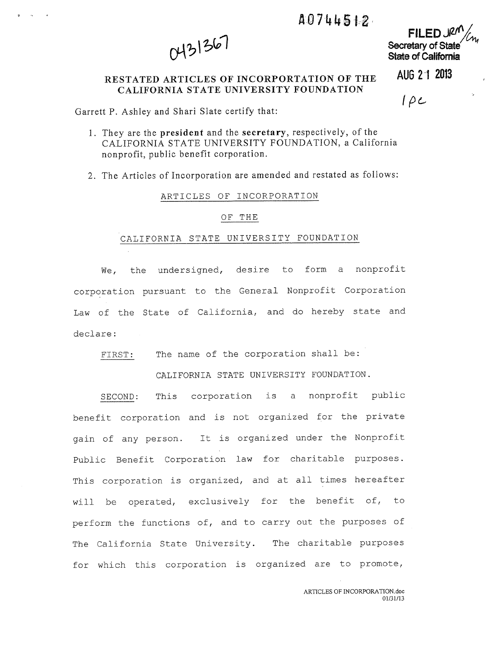# A0744512

0431367

FILED IRM Secretary of State State of California

AUG 2 1 2013

## RESTATED ARTICLES OF INCORPORTATION OF THE CALIFORNIA STATE UNIVERSITY FOUNDATION

 $1\rho c$ 

Garrett P. Ashley and Shari Slate certify that:

1. They are the president and the secretary, respectively, of the CALIFORNIA STATE UNIVERSITY FOUNDATION, <sup>a</sup> California nonprofit, public benefit corporation.

2. The Articles of Incorporation are amended and restated as follows:

## ARTICLES OF INCORPORATION

### OF THE

#### CALIFORNIA STATE UNIVERSITY FOUNDATION

We, the undersigned, desire to form <sup>a</sup> nonprofit corporation pursuant to the General Nonprofit Corporation Law of the State of California, and do hereby state and declare:

FIRST: The name of the corporation shall be:

CALIFORNIA STATE UNIVERSITY FOUNDATION.

SECOND: This corporation is <sup>a</sup> nonprofit public benefit corporation and is not organized for the private gain of any person. It is organized under the Nonprofit Public Benefit Corporation law for charitable purposes. This corporation is organized, and at all times hereafter will be operated, exclusively for the benefit of, to perform the functions of, and to carry out the purposes of The California State University. The charitable purposes for which this corporation is organized are to promote,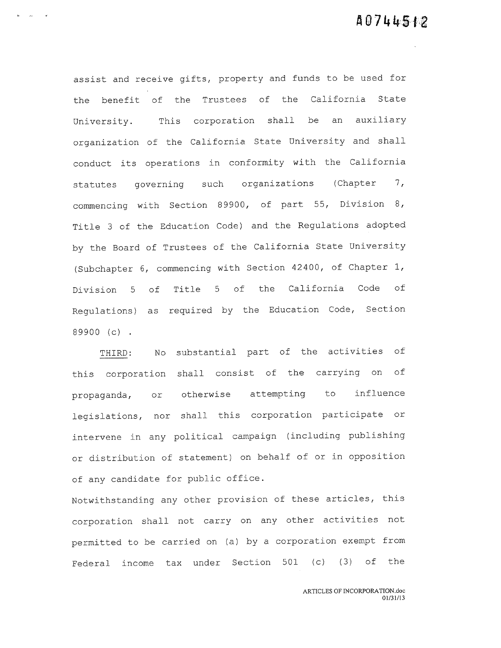assist and receive gifts, property and funds to be used for the benefit of the Trustees of the California State University. This corporation shall be an auxiliary organization of the California State University and shall conduct its operations in conformity with the California statutes governing such organizations (Chapter 7, commencing with Section 89900, of part 55, Division 8, Title <sup>3</sup> of the Education Code) and the Regulations adopted by the Board of Trustees of the California State University (Subchapter 6, commencing with Section 42400, of Chapter 1, Division <sup>5</sup> of Title <sup>5</sup> of the California Code of Regulations) as required by the Education Code, Section 89900 (c)

 $\sim 100$  km s  $^{-1}$  and  $^{-1}$ 

THIRD: No substantial part of the activities of this corporation shall consist of the carrying on of propaganda, or otherwise attempting to influence legislations, nor shall this corporation participate or intervene in any political campaign (including publishing or distribution of statement) on behalf of or in opposition of any candidate for public office.

Notwithstanding any other provision of these articles, this corporation shall not carry on any other activities not permitted to be carried on (a) by <sup>a</sup> corporation exempt from Federal income tax under Section 501 (c) (3) of the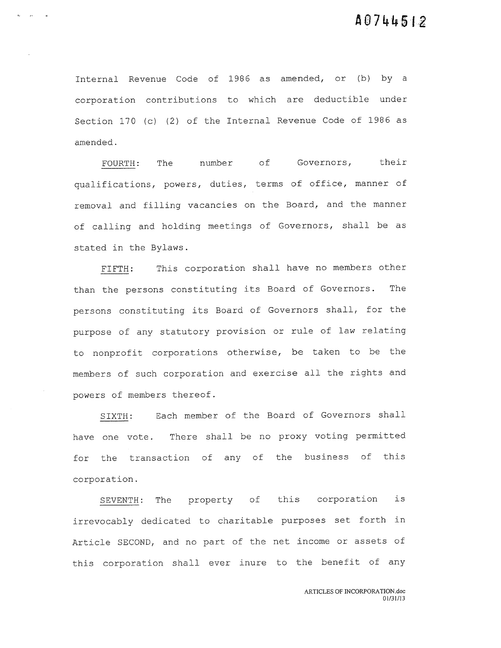Internal Revenue Code of 1986 as amended, or (b) by <sup>a</sup> corporation contributions to which are deductible under Section 170 (c) (2) of the Internal Revenue Code of 1986 as amended.

 $\sim$   $\sim$ 

FOURTH: The number of Governors, their qualifications, powers, duties, terms of office, manner of removal and filling vacancies on the Board, and the manner of calling and holding meetings of Governors, shall be as stated in the Bylaws.

FIFTH: This corporation shall have no members other than the persons constituting its Board of Governors. The persons constituting its Board of Governors shall, for the purpose of any statutory provision or rule of law relating to nonprofit corporations otherwise, be taken to be the members of such corporation and exercise all the rights and powers of members thereof.

SIXTH: Each member of the Board of Governors shall have one vote. There shall be no proxy voting permitted for the transaction of any of the business of this corporation.

SEVENTH: The property of this corporation is irrevocably dedicated to charitable purposes set forth in Article SECOND, and no part of the net income or assets of this corporation shall ever inure to the benefit of any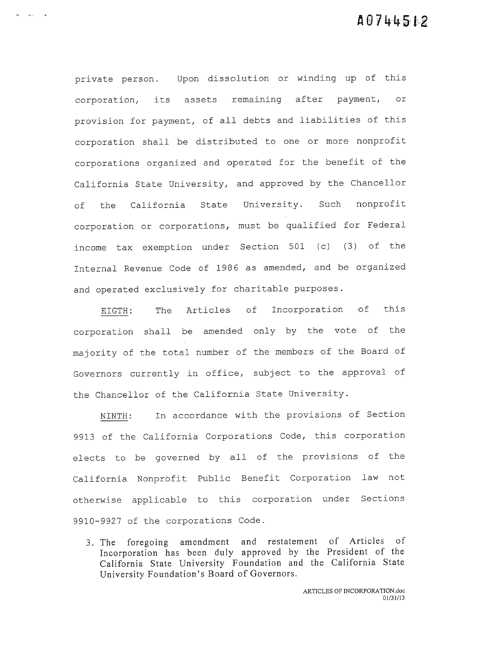private person. Upon dissolution or winding up of this corporation, its assets remaining after payment, or provision for payment, of all debts and liabilities of this corporation shall be distributed to one or more nonprofit corporations organized and operated for the benefit of the California State University, and approved by the Chancellor of the California State University. Such nonprofit corporation or corporations, must be qualified for Federal income tax exemption under Section 501 (c) (3) of the Internal Revenue Code of 1986 as amended, and be organized and operated exclusively for charitable purposes.

 $\mathbf{e}_i = -\mathbf{e}_i, \qquad \mathbf{e}_i$ 

EIGTH: The Articles of Incorporation of this corporation shall be amended only by the vote of the majority of the total number of the members of the Board of Governors currently in office, subject to the approval of the Chancellor of the California State University.

NINTH: In accordance with the provisions of Section <sup>9913</sup> of the California Corporations Code, this corporation elects to be governed by all of the provisions of the California Nonprofit Public Benefit Corporation law not otherwise applicable to this corporation under Sections 9910-9927 of the corporations Code.

3. The foregoing amendment and restatement of Articles of Incorporation has been duly approved by the President of the California State University Foundation and the California State University Foundation's Board of Governors.